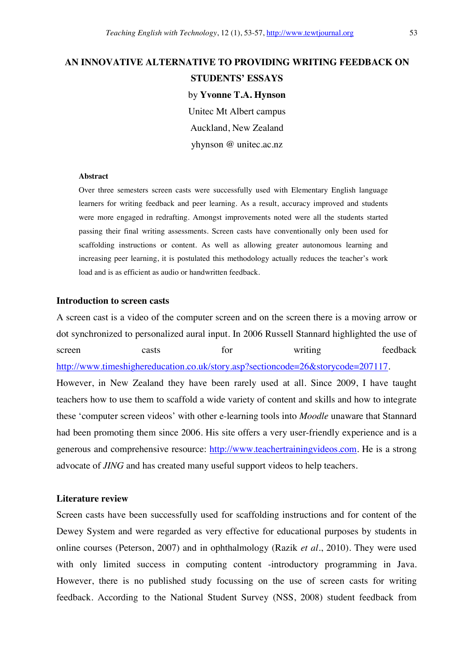# **AN INNOVATIVE ALTERNATIVE TO PROVIDING WRITING FEEDBACK ON**

### **STUDENTS' ESSAYS**

by **Yvonne T.A. Hynson**  Unitec Mt Albert campus Auckland, New Zealand yhynson @ unitec.ac.nz

#### **Abstract**

Over three semesters screen casts were successfully used with Elementary English language learners for writing feedback and peer learning. As a result, accuracy improved and students were more engaged in redrafting. Amongst improvements noted were all the students started passing their final writing assessments. Screen casts have conventionally only been used for scaffolding instructions or content. As well as allowing greater autonomous learning and increasing peer learning, it is postulated this methodology actually reduces the teacher's work load and is as efficient as audio or handwritten feedback.

### **Introduction to screen casts**

A screen cast is a video of the computer screen and on the screen there is a moving arrow or dot synchronized to personalized aural input. In 2006 Russell Stannard highlighted the use of screen casts for writing feedback http://www.timeshighereducation.co.uk/story.asp?sectioncode=26&storycode=207117. However, in New Zealand they have been rarely used at all. Since 2009, I have taught teachers how to use them to scaffold a wide variety of content and skills and how to integrate these 'computer screen videos' with other e-learning tools into *Moodle* unaware that Stannard had been promoting them since 2006. His site offers a very user-friendly experience and is a generous and comprehensive resource: http://www.teachertrainingvideos.com. He is a strong advocate of *JING* and has created many useful support videos to help teachers.

### **Literature review**

Screen casts have been successfully used for scaffolding instructions and for content of the Dewey System and were regarded as very effective for educational purposes by students in online courses (Peterson, 2007) and in ophthalmology (Razik *et al.*, 2010). They were used with only limited success in computing content -introductory programming in Java. However, there is no published study focussing on the use of screen casts for writing feedback. According to the National Student Survey (NSS, 2008) student feedback from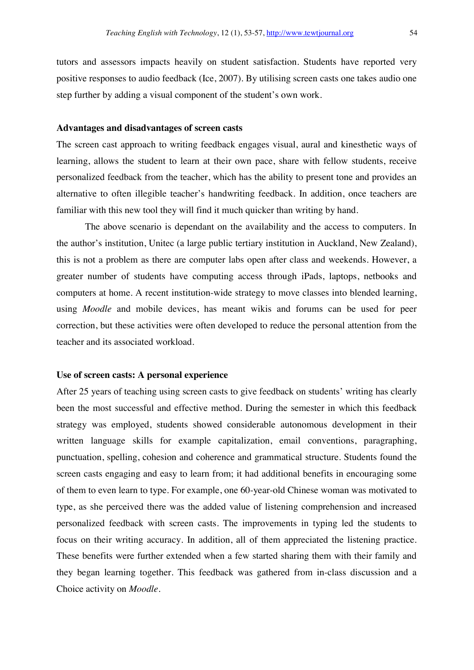tutors and assessors impacts heavily on student satisfaction. Students have reported very positive responses to audio feedback (Ice, 2007). By utilising screen casts one takes audio one step further by adding a visual component of the student's own work.

### **Advantages and disadvantages of screen casts**

The screen cast approach to writing feedback engages visual, aural and kinesthetic ways of learning, allows the student to learn at their own pace, share with fellow students, receive personalized feedback from the teacher, which has the ability to present tone and provides an alternative to often illegible teacher's handwriting feedback. In addition, once teachers are familiar with this new tool they will find it much quicker than writing by hand.

 The above scenario is dependant on the availability and the access to computers. In the author's institution, Unitec (a large public tertiary institution in Auckland, New Zealand), this is not a problem as there are computer labs open after class and weekends. However, a greater number of students have computing access through iPads, laptops, netbooks and computers at home. A recent institution-wide strategy to move classes into blended learning, using *Moodle* and mobile devices, has meant wikis and forums can be used for peer correction, but these activities were often developed to reduce the personal attention from the teacher and its associated workload.

#### **Use of screen casts: A personal experience**

After 25 years of teaching using screen casts to give feedback on students' writing has clearly been the most successful and effective method. During the semester in which this feedback strategy was employed, students showed considerable autonomous development in their written language skills for example capitalization, email conventions, paragraphing, punctuation, spelling, cohesion and coherence and grammatical structure. Students found the screen casts engaging and easy to learn from; it had additional benefits in encouraging some of them to even learn to type. For example, one 60-year-old Chinese woman was motivated to type, as she perceived there was the added value of listening comprehension and increased personalized feedback with screen casts. The improvements in typing led the students to focus on their writing accuracy. In addition, all of them appreciated the listening practice. These benefits were further extended when a few started sharing them with their family and they began learning together. This feedback was gathered from in-class discussion and a Choice activity on *Moodle*.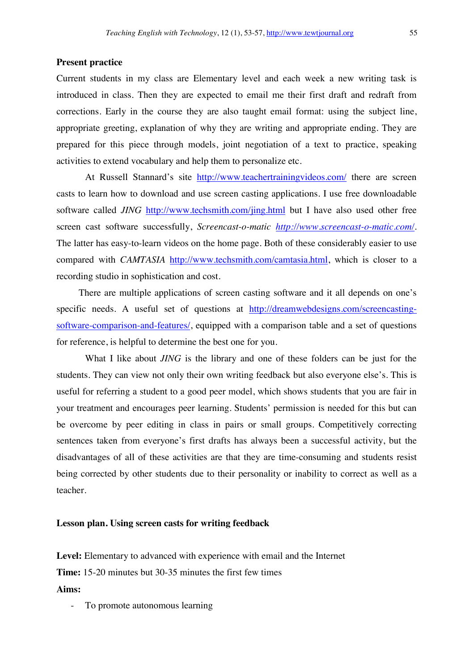### **Present practice**

Current students in my class are Elementary level and each week a new writing task is introduced in class. Then they are expected to email me their first draft and redraft from corrections. Early in the course they are also taught email format: using the subject line, appropriate greeting, explanation of why they are writing and appropriate ending. They are prepared for this piece through models, joint negotiation of a text to practice, speaking activities to extend vocabulary and help them to personalize etc.

At Russell Stannard's site http://www.teachertrainingvideos.com/ there are screen casts to learn how to download and use screen casting applications. I use free downloadable software called *JING* http://www.techsmith.com/jing.html but I have also used other free screen cast software successfully, *Screencast-o-matic http://www.screencast-o-matic.com/*. The latter has easy-to-learn videos on the home page. Both of these considerably easier to use compared with *CAMTASIA* http://www.techsmith.com/camtasia.html, which is closer to a recording studio in sophistication and cost.

 There are multiple applications of screen casting software and it all depends on one's specific needs. A useful set of questions at http://dreamwebdesigns.com/screencastingsoftware-comparison-and-features/, equipped with a comparison table and a set of questions for reference, is helpful to determine the best one for you.

 What I like about *JING* is the library and one of these folders can be just for the students. They can view not only their own writing feedback but also everyone else's. This is useful for referring a student to a good peer model, which shows students that you are fair in your treatment and encourages peer learning. Students' permission is needed for this but can be overcome by peer editing in class in pairs or small groups. Competitively correcting sentences taken from everyone's first drafts has always been a successful activity, but the disadvantages of all of these activities are that they are time-consuming and students resist being corrected by other students due to their personality or inability to correct as well as a teacher.

### **Lesson plan. Using screen casts for writing feedback**

**Level:** Elementary to advanced with experience with email and the Internet

**Time:** 15-20 minutes but 30-35 minutes the first few times

**Aims:**

To promote autonomous learning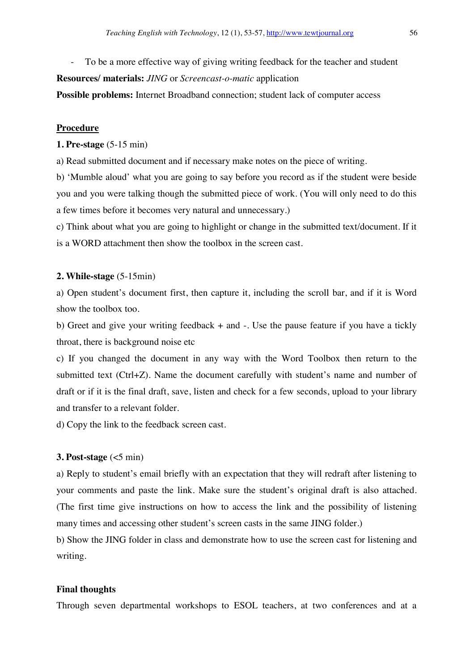- To be a more effective way of giving writing feedback for the teacher and student

**Resources/ materials:** *JING* or *Screencast-o-matic* application

**Possible problems:** Internet Broadband connection; student lack of computer access

### **Procedure**

### **1. Pre-stage** (5-15 min)

a) Read submitted document and if necessary make notes on the piece of writing.

b) 'Mumble aloud' what you are going to say before you record as if the student were beside you and you were talking though the submitted piece of work. (You will only need to do this a few times before it becomes very natural and unnecessary.)

c) Think about what you are going to highlight or change in the submitted text/document. If it is a WORD attachment then show the toolbox in the screen cast.

### **2. While-stage** (5-15min)

a) Open student's document first, then capture it, including the scroll bar, and if it is Word show the toolbox too.

b) Greet and give your writing feedback + and -. Use the pause feature if you have a tickly throat, there is background noise etc

c) If you changed the document in any way with the Word Toolbox then return to the submitted text (Ctrl+Z). Name the document carefully with student's name and number of draft or if it is the final draft, save, listen and check for a few seconds, upload to your library and transfer to a relevant folder.

d) Copy the link to the feedback screen cast.

## **3. Post-stage** (<5 min)

a) Reply to student's email briefly with an expectation that they will redraft after listening to your comments and paste the link. Make sure the student's original draft is also attached. (The first time give instructions on how to access the link and the possibility of listening many times and accessing other student's screen casts in the same JING folder.)

b) Show the JING folder in class and demonstrate how to use the screen cast for listening and writing.

### **Final thoughts**

Through seven departmental workshops to ESOL teachers, at two conferences and at a